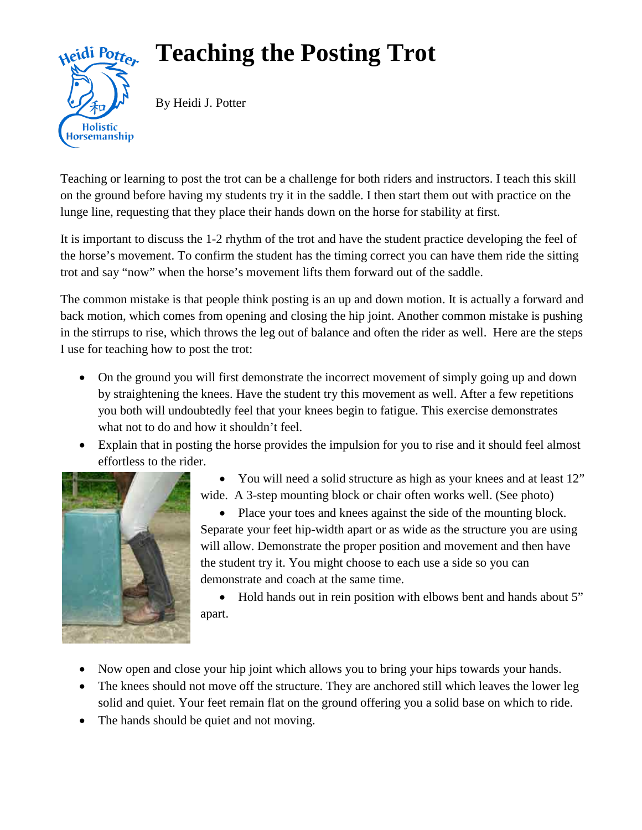## **Teaching the Posting Trot**



By Heidi J. Potter

Teaching or learning to post the trot can be a challenge for both riders and instructors. I teach this skill on the ground before having my students try it in the saddle. I then start them out with practice on the lunge line, requesting that they place their hands down on the horse for stability at first.

It is important to discuss the 1-2 rhythm of the trot and have the student practice developing the feel of the horse's movement. To confirm the student has the timing correct you can have them ride the sitting trot and say "now" when the horse's movement lifts them forward out of the saddle.

The common mistake is that people think posting is an up and down motion. It is actually a forward and back motion, which comes from opening and closing the hip joint. Another common mistake is pushing in the stirrups to rise, which throws the leg out of balance and often the rider as well. Here are the steps I use for teaching how to post the trot:

- On the ground you will first demonstrate the incorrect movement of simply going up and down by straightening the knees. Have the student try this movement as well. After a few repetitions you both will undoubtedly feel that your knees begin to fatigue. This exercise demonstrates what not to do and how it shouldn't feel.
- Explain that in posting the horse provides the impulsion for you to rise and it should feel almost effortless to the rider.



• You will need a solid structure as high as your knees and at least 12" wide. A 3-step mounting block or chair often works well. (See photo)

• Place your toes and knees against the side of the mounting block. Separate your feet hip-width apart or as wide as the structure you are using will allow. Demonstrate the proper position and movement and then have the student try it. You might choose to each use a side so you can demonstrate and coach at the same time.

• Hold hands out in rein position with elbows bent and hands about 5" apart.

- Now open and close your hip joint which allows you to bring your hips towards your hands.
- The knees should not move off the structure. They are anchored still which leaves the lower leg solid and quiet. Your feet remain flat on the ground offering you a solid base on which to ride.
- The hands should be quiet and not moving.